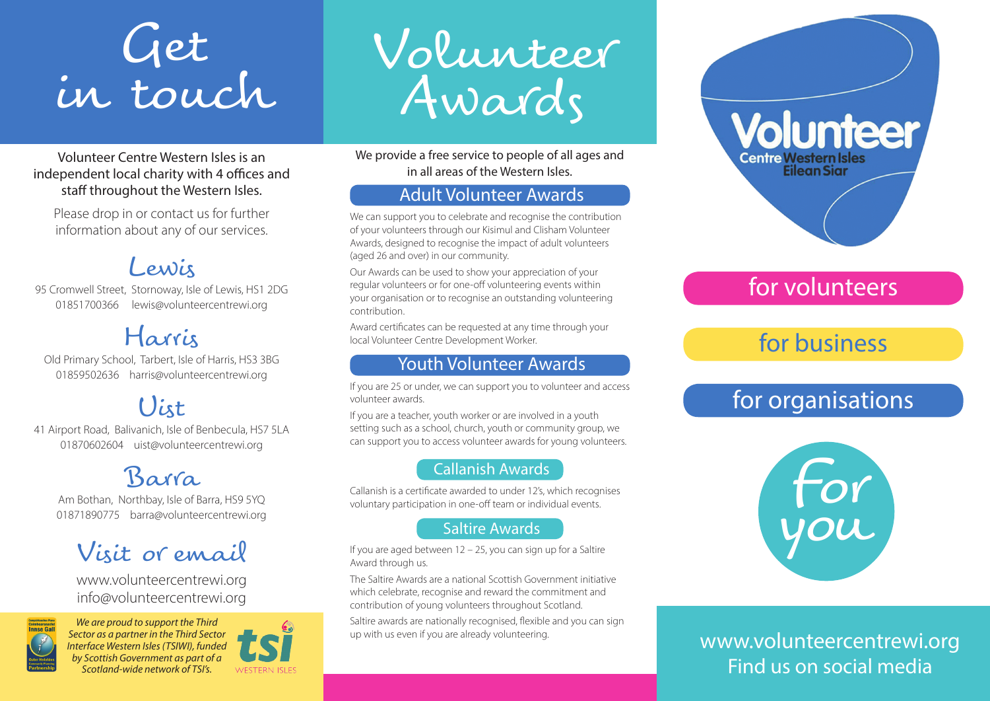## Get in touch

Volunteer Centre Western Isles is an independent local charity with 4 offices and staff throughout the Western Isles.

Please drop in or contact us for further information about any of our services.

## Lewis

95 Cromwell Street, Stornoway, Isle of Lewis, HS1 2DG 01851700366 lewis@volunteercentrewi.org

## Harris

Old Primary School, Tarbert, Isle of Harris, HS3 3BG 01859502636 harris@volunteercentrewi.org

## Uist

41 Airport Road, Balivanich, Isle of Benbecula, HS7 5LA 01870602604 uist@volunteercentrewi.org

## Barra

Am Bothan, Northbay, Isle of Barra, HS9 5YQ 01871890775 barra@volunteercentrewi.org

## Visit or email

www.volunteercentrewi.org info@volunteercentrewi.org



*We are proud to support the Third Sector as a partner in the Third Sector Interface Western Isles (TSIWI), funded by Scottish Government as part of a Scotland-wide network of TSI's.*



Volunteer Awards

We provide a free service to people of all ages and in all areas of the Western Isles.

#### Adult Volunteer Awards

We can support you to celebrate and recognise the contribution of your volunteers through our Kisimul and Clisham Volunteer Awards, designed to recognise the impact of adult volunteers (aged 26 and over) in our community.

Our Awards can be used to show your appreciation of your regular volunteers or for one-off volunteering events within your organisation or to recognise an outstanding volunteering contribution.

Award certificates can be requested at any time through your local Volunteer Centre Development Worker.

#### Youth Volunteer Awards

If you are 25 or under, we can support you to volunteer and access volunteer awards.

If you are a teacher, youth worker or are involved in a youth setting such as a school, church, youth or community group, we can support you to access volunteer awards for young volunteers.

#### Callanish Awards

Callanish is a certificate awarded to under 12's, which recognises voluntary participation in one-off team or individual events.

#### Saltire Awards

If you are aged between 12 – 25, you can sign up for a Saltire Award through us.

The Saltire Awards are a national Scottish Government initiative which celebrate, recognise and reward the commitment and contribution of young volunteers throughout Scotland.

Saltire awards are nationally recognised, flexible and you can sign up with us even if you are already volunteering.



### for volunteers

## for business

## for organisations



www.volunteercentrewi.org Find us on social media